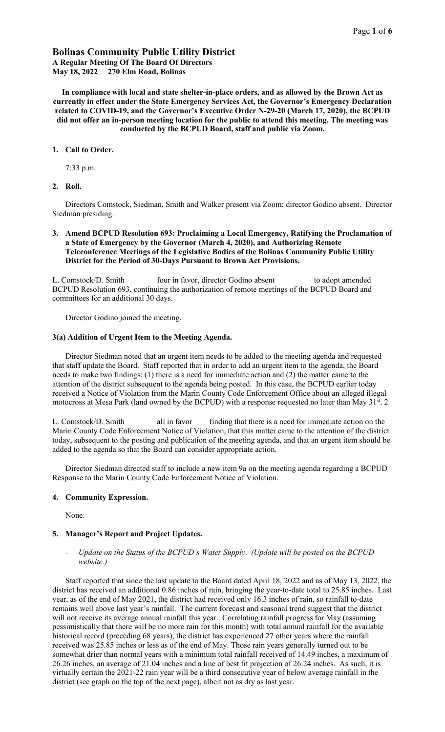# Bolinas Community Public Utility District A Regular Meeting Of The Board Of Directors

May 18, 2022 270 Elm Road, Bolinas

In compliance with local and state shelter-in-place orders, and as allowed by the Brown Act as currently in effect under the State Emergency Services Act, the Governor's Emergency Declaration related to COVID-19, and the Governor's Executive Order N-29-20 (March 17, 2020), the BCPUD did not offer an in-person meeting location for the public to attend this meeting. The meeting was conducted by the BCPUD Board, staff and public via Zoom.

#### 1. Call to Order.

7:33 p.m.

2. Roll.

Directors Comstock, Siedman, Smith and Walker present via Zoom; director Godino absent. Director Siedman presiding.

3. Amend BCPUD Resolution 693: Proclaiming a Local Emergency, Ratifying the Proclamation of a State of Emergency by the Governor (March 4, 2020), and Authorizing Remote Teleconference Meetings of the Legislative Bodies of the Bolinas Community Public Utility District for the Period of 30-Days Pursuant to Brown Act Provisions.

L. Comstock/D. Smith four in favor, director Godino absent to adopt amended BCPUD Resolution 693, continuing the authorization of remote meetings of the BCPUD Board and committees for an additional 30 days.

Director Godino joined the meeting.

## 3(a) Addition of Urgent Item to the Meeting Agenda.

Director Siedman noted that an urgent item needs to be added to the meeting agenda and requested that staff update the Board. Staff reported that in order to add an urgent item to the agenda, the Board needs to make two findings: (1) there is a need for immediate action and (2) the matter came to the attention of the district subsequent to the agenda being posted. In this case, the BCPUD earlier today received a Notice of Violation from the Marin County Code Enforcement Office about an alleged illegal motocross at Mesa Park (land owned by the BCPUD) with a response requested no later than May 31<sup>st</sup>. 2

L. Comstock/D. Smith all in favor finding that there is a need for immediate action on the Marin County Code Enforcement Notice of Violation, that this matter came to the attention of the district today, subsequent to the posting and publication of the meeting agenda, and that an urgent item should be added to the agenda so that the Board can consider appropriate action.

Director Siedman directed staff to include a new item 9a on the meeting agenda regarding a BCPUD Response to the Marin County Code Enforcement Notice of Violation.

### 4. Community Expression.

None.

# 5. Manager's Report and Project Updates.

*- Update on the Status of the BCPUD's Water Supply*. *(Update will be posted on the BCPUD website.)*

Staff reported that since the last update to the Board dated April 18, 2022 and as of May 13, 2022, the district has received an additional 0.86 inches of rain, bringing the year-to-date total to 25.85 inches. Last year, as of the end of May 2021, the district had received only 16.3 inches of rain, so rainfall to-date remains well above last year's rainfall. The current forecast and seasonal trend suggest that the district will not receive its average annual rainfall this year. Correlating rainfall progress for May (assuming pessimistically that there will be no more rain for this month) with total annual rainfall for the available historical record (preceding 68 years), the district has experienced 27 other years where the rainfall received was 25.85 inches or less as of the end of May. Those rain years generally turned out to be somewhat drier than normal years with a minimum total rainfall received of 14.49 inches, a maximum of 26.26 inches, an average of 21.04 inches and a line of best fit projection of 26.24 inches. As such, it is virtually certain the 2021-22 rain year will be a third consecutive year of below average rainfall in the district (see graph on the top of the next page), albeit not as dry as last year.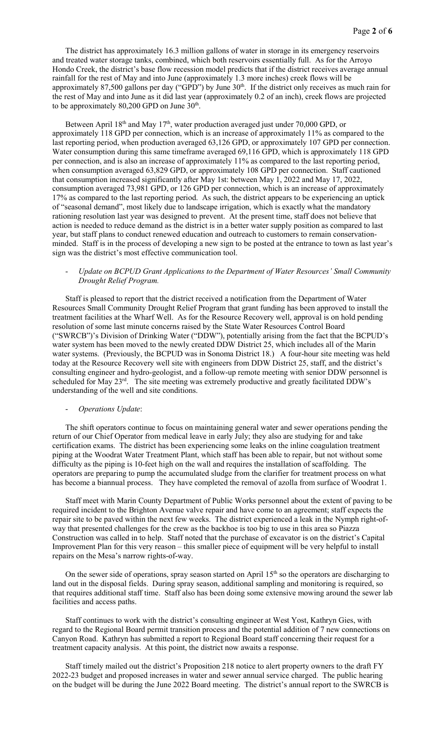The district has approximately 16.3 million gallons of water in storage in its emergency reservoirs and treated water storage tanks, combined, which both reservoirs essentially full. As for the Arroyo Hondo Creek, the district's base flow recession model predicts that if the district receives average annual rainfall for the rest of May and into June (approximately 1.3 more inches) creek flows will be approximately 87,500 gallons per day ("GPD") by June 30<sup>th</sup>. If the district only receives as much rain for the rest of May and into June as it did last year (approximately 0.2 of an inch), creek flows are projected to be approximately  $80,200$  GPD on June  $30<sup>th</sup>$ .

Between April 18<sup>th</sup> and May 17<sup>th</sup>, water production averaged just under 70,000 GPD, or approximately 118 GPD per connection, which is an increase of approximately 11% as compared to the last reporting period, when production averaged 63,126 GPD, or approximately 107 GPD per connection. Water consumption during this same timeframe averaged 69,116 GPD, which is approximately 118 GPD per connection, and is also an increase of approximately 11% as compared to the last reporting period, when consumption averaged 63,829 GPD, or approximately 108 GPD per connection. Staff cautioned that consumption increased significantly after May 1st: between May 1, 2022 and May 17, 2022, consumption averaged 73,981 GPD, or 126 GPD per connection, which is an increase of approximately 17% as compared to the last reporting period. As such, the district appears to be experiencing an uptick of "seasonal demand", most likely due to landscape irrigation, which is exactly what the mandatory rationing resolution last year was designed to prevent. At the present time, staff does not believe that action is needed to reduce demand as the district is in a better water supply position as compared to last year, but staff plans to conduct renewed education and outreach to customers to remain conservationminded. Staff is in the process of developing a new sign to be posted at the entrance to town as last year's sign was the district's most effective communication tool.

### - *Update on BCPUD Grant Applications to the Department of Water Resources' Small Community Drought Relief Program.*

Staff is pleased to report that the district received a notification from the Department of Water Resources Small Community Drought Relief Program that grant funding has been approved to install the treatment facilities at the Wharf Well. As for the Resource Recovery well, approval is on hold pending resolution of some last minute concerns raised by the State Water Resources Control Board ("SWRCB")'s Division of Drinking Water ("DDW"), potentially arising from the fact that the BCPUD's water system has been moved to the newly created DDW District 25, which includes all of the Marin water systems. (Previously, the BCPUD was in Sonoma District 18.) A four-hour site meeting was held today at the Resource Recovery well site with engineers from DDW District 25, staff, and the district's consulting engineer and hydro-geologist, and a follow-up remote meeting with senior DDW personnel is scheduled for May 23<sup>rd</sup>. The site meeting was extremely productive and greatly facilitated DDW's understanding of the well and site conditions.

#### - *Operations Update*:

The shift operators continue to focus on maintaining general water and sewer operations pending the return of our Chief Operator from medical leave in early July; they also are studying for and take certification exams. The district has been experiencing some leaks on the inline coagulation treatment piping at the Woodrat Water Treatment Plant, which staff has been able to repair, but not without some difficulty as the piping is 10-feet high on the wall and requires the installation of scaffolding. The operators are preparing to pump the accumulated sludge from the clarifier for treatment process on what has become a biannual process. They have completed the removal of azolla from surface of Woodrat 1.

Staff meet with Marin County Department of Public Works personnel about the extent of paving to be required incident to the Brighton Avenue valve repair and have come to an agreement; staff expects the repair site to be paved within the next few weeks. The district experienced a leak in the Nymph right-ofway that presented challenges for the crew as the backhoe is too big to use in this area so Piazza Construction was called in to help. Staff noted that the purchase of excavator is on the district's Capital Improvement Plan for this very reason – this smaller piece of equipment will be very helpful to install repairs on the Mesa's narrow rights-of-way.

On the sewer side of operations, spray season started on April 15<sup>th</sup> so the operators are discharging to land out in the disposal fields. During spray season, additional sampling and monitoring is required, so that requires additional staff time. Staff also has been doing some extensive mowing around the sewer lab facilities and access paths.

Staff continues to work with the district's consulting engineer at West Yost, Kathryn Gies, with regard to the Regional Board permit transition process and the potential addition of 7 new connections on Canyon Road. Kathryn has submitted a report to Regional Board staff concerning their request for a treatment capacity analysis. At this point, the district now awaits a response.

Staff timely mailed out the district's Proposition 218 notice to alert property owners to the draft FY 2022-23 budget and proposed increases in water and sewer annual service charged. The public hearing on the budget will be during the June 2022 Board meeting. The district's annual report to the SWRCB is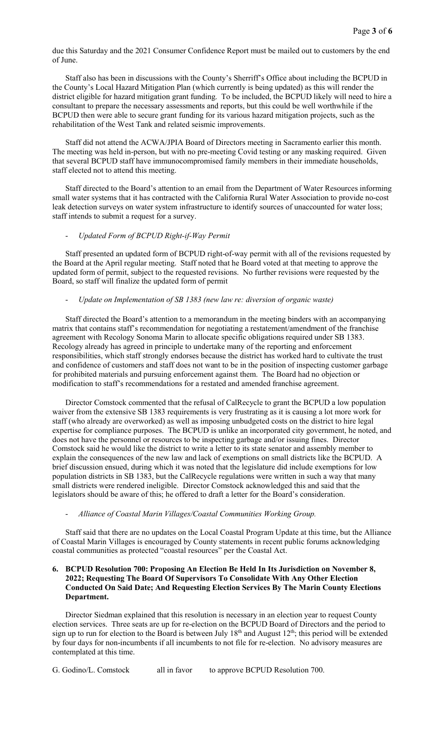due this Saturday and the 2021 Consumer Confidence Report must be mailed out to customers by the end of June.

Staff also has been in discussions with the County's Sherriff's Office about including the BCPUD in the County's Local Hazard Mitigation Plan (which currently is being updated) as this will render the district eligible for hazard mitigation grant funding. To be included, the BCPUD likely will need to hire a consultant to prepare the necessary assessments and reports, but this could be well worthwhile if the BCPUD then were able to secure grant funding for its various hazard mitigation projects, such as the rehabilitation of the West Tank and related seismic improvements.

Staff did not attend the ACWA/JPIA Board of Directors meeting in Sacramento earlier this month. The meeting was held in-person, but with no pre-meeting Covid testing or any masking required. Given that several BCPUD staff have immunocompromised family members in their immediate households, staff elected not to attend this meeting.

Staff directed to the Board's attention to an email from the Department of Water Resources informing small water systems that it has contracted with the California Rural Water Association to provide no-cost leak detection surveys on water system infrastructure to identify sources of unaccounted for water loss; staff intends to submit a request for a survey.

# - *Updated Form of BCPUD Right-if-Way Permit*

Staff presented an updated form of BCPUD right-of-way permit with all of the revisions requested by the Board at the April regular meeting. Staff noted that he Board voted at that meeting to approve the updated form of permit, subject to the requested revisions. No further revisions were requested by the Board, so staff will finalize the updated form of permit

#### - *Update on Implementation of SB 1383 (new law re: diversion of organic waste)*

Staff directed the Board's attention to a memorandum in the meeting binders with an accompanying matrix that contains staff's recommendation for negotiating a restatement/amendment of the franchise agreement with Recology Sonoma Marin to allocate specific obligations required under SB 1383. Recology already has agreed in principle to undertake many of the reporting and enforcement responsibilities, which staff strongly endorses because the district has worked hard to cultivate the trust and confidence of customers and staff does not want to be in the position of inspecting customer garbage for prohibited materials and pursuing enforcement against them. The Board had no objection or modification to staff's recommendations for a restated and amended franchise agreement.

Director Comstock commented that the refusal of CalRecycle to grant the BCPUD a low population waiver from the extensive SB 1383 requirements is very frustrating as it is causing a lot more work for staff (who already are overworked) as well as imposing unbudgeted costs on the district to hire legal expertise for compliance purposes. The BCPUD is unlike an incorporated city government, he noted, and does not have the personnel or resources to be inspecting garbage and/or issuing fines. Director Comstock said he would like the district to write a letter to its state senator and assembly member to explain the consequences of the new law and lack of exemptions on small districts like the BCPUD. A brief discussion ensued, during which it was noted that the legislature did include exemptions for low population districts in SB 1383, but the CalRecycle regulations were written in such a way that many small districts were rendered ineligible. Director Comstock acknowledged this and said that the legislators should be aware of this; he offered to draft a letter for the Board's consideration.

### - *Alliance of Coastal Marin Villages/Coastal Communities Working Group.*

Staff said that there are no updates on the Local Coastal Program Update at this time, but the Alliance of Coastal Marin Villages is encouraged by County statements in recent public forums acknowledging coastal communities as protected "coastal resources" per the Coastal Act.

# 6. BCPUD Resolution 700: Proposing An Election Be Held In Its Jurisdiction on November 8, 2022; Requesting The Board Of Supervisors To Consolidate With Any Other Election Conducted On Said Date; And Requesting Election Services By The Marin County Elections Department.

Director Siedman explained that this resolution is necessary in an election year to request County election services. Three seats are up for re-election on the BCPUD Board of Directors and the period to sign up to run for election to the Board is between July 18<sup>th</sup> and August 12<sup>th</sup>; this period will be extended by four days for non-incumbents if all incumbents to not file for re-election. No advisory measures are contemplated at this time.

G. Godino/L. Comstock all in favor to approve BCPUD Resolution 700.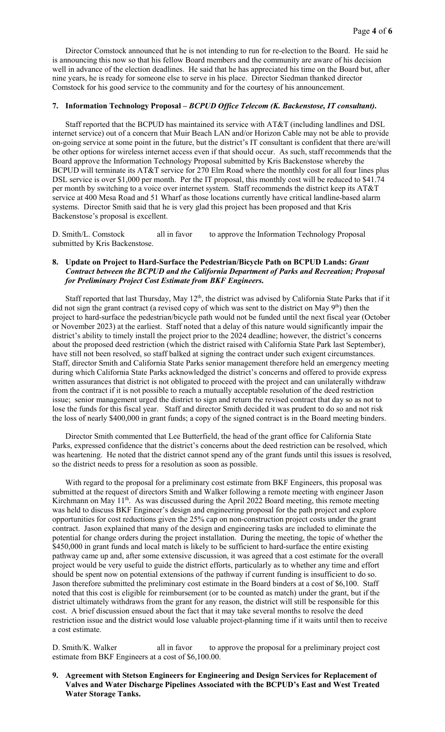Director Comstock announced that he is not intending to run for re-election to the Board. He said he is announcing this now so that his fellow Board members and the community are aware of his decision well in advance of the election deadlines. He said that he has appreciated his time on the Board but, after nine years, he is ready for someone else to serve in his place. Director Siedman thanked director Comstock for his good service to the community and for the courtesy of his announcement.

### 7. Information Technology Proposal – *BCPUD Office Telecom (K. Backenstose, IT consultant)*.

Staff reported that the BCPUD has maintained its service with AT&T (including landlines and DSL internet service) out of a concern that Muir Beach LAN and/or Horizon Cable may not be able to provide on-going service at some point in the future, but the district's IT consultant is confident that there are/will be other options for wireless internet access even if that should occur. As such, staff recommends that the Board approve the Information Technology Proposal submitted by Kris Backenstose whereby the BCPUD will terminate its AT&T service for 270 Elm Road where the monthly cost for all four lines plus DSL service is over \$1,000 per month. Per the IT proposal, this monthly cost will be reduced to \$41.74 per month by switching to a voice over internet system. Staff recommends the district keep its AT&T service at 400 Mesa Road and 51 Wharf as those locations currently have critical landline-based alarm systems. Director Smith said that he is very glad this project has been proposed and that Kris Backenstose's proposal is excellent.

D. Smith/L. Comstock all in favor to approve the Information Technology Proposal submitted by Kris Backenstose.

## 8. Update on Project to Hard-Surface the Pedestrian/Bicycle Path on BCPUD Lands: *Grant Contract between the BCPUD and the California Department of Parks and Recreation; Proposal for Preliminary Project Cost Estimate from BKF Engineers*.

Staff reported that last Thursday, May 12<sup>th</sup>, the district was advised by California State Parks that if it did not sign the grant contract (a revised copy of which was sent to the district on May 9<sup>th</sup>) then the project to hard-surface the pedestrian/bicycle path would not be funded until the next fiscal year (October or November 2023) at the earliest. Staff noted that a delay of this nature would significantly impair the district's ability to timely install the project prior to the 2024 deadline; however, the district's concerns about the proposed deed restriction (which the district raised with California State Park last September), have still not been resolved, so staff balked at signing the contract under such exigent circumstances. Staff, director Smith and California State Parks senior management therefore held an emergency meeting during which California State Parks acknowledged the district's concerns and offered to provide express written assurances that district is not obligated to proceed with the project and can unilaterally withdraw from the contract if it is not possible to reach a mutually acceptable resolution of the deed restriction issue; senior management urged the district to sign and return the revised contract that day so as not to lose the funds for this fiscal year. Staff and director Smith decided it was prudent to do so and not risk the loss of nearly \$400,000 in grant funds; a copy of the signed contract is in the Board meeting binders.

Director Smith commented that Lee Butterfield, the head of the grant office for California State Parks, expressed confidence that the district's concerns about the deed restriction can be resolved, which was heartening. He noted that the district cannot spend any of the grant funds until this issues is resolved, so the district needs to press for a resolution as soon as possible.

With regard to the proposal for a preliminary cost estimate from BKF Engineers, this proposal was submitted at the request of directors Smith and Walker following a remote meeting with engineer Jason Kirchmann on May 11<sup>th</sup>. As was discussed during the April 2022 Board meeting, this remote meeting was held to discuss BKF Engineer's design and engineering proposal for the path project and explore opportunities for cost reductions given the 25% cap on non-construction project costs under the grant contract. Jason explained that many of the design and engineering tasks are included to eliminate the potential for change orders during the project installation. During the meeting, the topic of whether the \$450,000 in grant funds and local match is likely to be sufficient to hard-surface the entire existing pathway came up and, after some extensive discussion, it was agreed that a cost estimate for the overall project would be very useful to guide the district efforts, particularly as to whether any time and effort should be spent now on potential extensions of the pathway if current funding is insufficient to do so. Jason therefore submitted the preliminary cost estimate in the Board binders at a cost of \$6,100. Staff noted that this cost is eligible for reimbursement (or to be counted as match) under the grant, but if the district ultimately withdraws from the grant for any reason, the district will still be responsible for this cost. A brief discussion ensued about the fact that it may take several months to resolve the deed restriction issue and the district would lose valuable project-planning time if it waits until then to receive a cost estimate.

D. Smith/K. Walker all in favor to approve the proposal for a preliminary project cost estimate from BKF Engineers at a cost of \$6,100.00.

9. Agreement with Stetson Engineers for Engineering and Design Services for Replacement of Valves and Water Discharge Pipelines Associated with the BCPUD's East and West Treated Water Storage Tanks.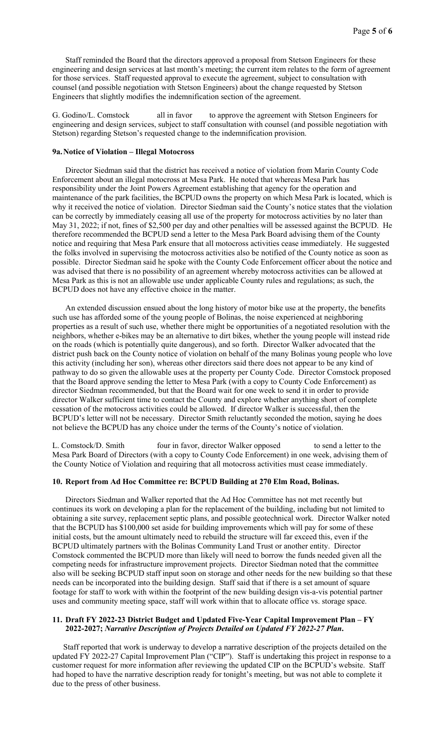Staff reminded the Board that the directors approved a proposal from Stetson Engineers for these engineering and design services at last month's meeting; the current item relates to the form of agreement for those services. Staff requested approval to execute the agreement, subject to consultation with counsel (and possible negotiation with Stetson Engineers) about the change requested by Stetson Engineers that slightly modifies the indemnification section of the agreement.

G. Godino/L. Comstock all in favor to approve the agreement with Stetson Engineers for engineering and design services, subject to staff consultation with counsel (and possible negotiation with Stetson) regarding Stetson's requested change to the indemnification provision.

#### 9a.Notice of Violation – Illegal Motocross

Director Siedman said that the district has received a notice of violation from Marin County Code Enforcement about an illegal motocross at Mesa Park. He noted that whereas Mesa Park has responsibility under the Joint Powers Agreement establishing that agency for the operation and maintenance of the park facilities, the BCPUD owns the property on which Mesa Park is located, which is why it received the notice of violation. Director Siedman said the County's notice states that the violation can be correctly by immediately ceasing all use of the property for motocross activities by no later than May 31, 2022; if not, fines of \$2,500 per day and other penalties will be assessed against the BCPUD. He therefore recommended the BCPUD send a letter to the Mesa Park Board advising them of the County notice and requiring that Mesa Park ensure that all motocross activities cease immediately. He suggested the folks involved in supervising the motocross activities also be notified of the County notice as soon as possible. Director Siedman said he spoke with the County Code Enforcement officer about the notice and was advised that there is no possibility of an agreement whereby motocross activities can be allowed at Mesa Park as this is not an allowable use under applicable County rules and regulations; as such, the BCPUD does not have any effective choice in the matter.

An extended discussion ensued about the long history of motor bike use at the property, the benefits such use has afforded some of the young people of Bolinas, the noise experienced at neighboring properties as a result of such use, whether there might be opportunities of a negotiated resolution with the neighbors, whether e-bikes may be an alternative to dirt bikes, whether the young people will instead ride on the roads (which is potentially quite dangerous), and so forth. Director Walker advocated that the district push back on the County notice of violation on behalf of the many Bolinas young people who love this activity (including her son), whereas other directors said there does not appear to be any kind of pathway to do so given the allowable uses at the property per County Code. Director Comstock proposed that the Board approve sending the letter to Mesa Park (with a copy to County Code Enforcement) as director Siedman recommended, but that the Board wait for one week to send it in order to provide director Walker sufficient time to contact the County and explore whether anything short of complete cessation of the motocross activities could be allowed. If director Walker is successful, then the BCPUD's letter will not be necessary. Director Smith reluctantly seconded the motion, saying he does not believe the BCPUD has any choice under the terms of the County's notice of violation.

L. Comstock/D. Smith four in favor, director Walker opposed to send a letter to the Mesa Park Board of Directors (with a copy to County Code Enforcement) in one week, advising them of the County Notice of Violation and requiring that all motocross activities must cease immediately.

#### 10. Report from Ad Hoc Committee re: BCPUD Building at 270 Elm Road, Bolinas.

Directors Siedman and Walker reported that the Ad Hoc Committee has not met recently but continues its work on developing a plan for the replacement of the building, including but not limited to obtaining a site survey, replacement septic plans, and possible geotechnical work. Director Walker noted that the BCPUD has \$100,000 set aside for building improvements which will pay for some of these initial costs, but the amount ultimately need to rebuild the structure will far exceed this, even if the BCPUD ultimately partners with the Bolinas Community Land Trust or another entity. Director Comstock commented the BCPUD more than likely will need to borrow the funds needed given all the competing needs for infrastructure improvement projects. Director Siedman noted that the committee also will be seeking BCPUD staff input soon on storage and other needs for the new building so that these needs can be incorporated into the building design. Staff said that if there is a set amount of square footage for staff to work with within the footprint of the new building design vis-a-vis potential partner uses and community meeting space, staff will work within that to allocate office vs. storage space.

### 11. Draft FY 2022-23 District Budget and Updated Five-Year Capital Improvement Plan – FY 2022-2027; *Narrative Description of Projects Detailed on Updated FY 2022-27 Plan*.

Staff reported that work is underway to develop a narrative description of the projects detailed on the updated FY 2022-27 Capital Improvement Plan ("CIP"). Staff is undertaking this project in response to a customer request for more information after reviewing the updated CIP on the BCPUD's website. Staff had hoped to have the narrative description ready for tonight's meeting, but was not able to complete it due to the press of other business.